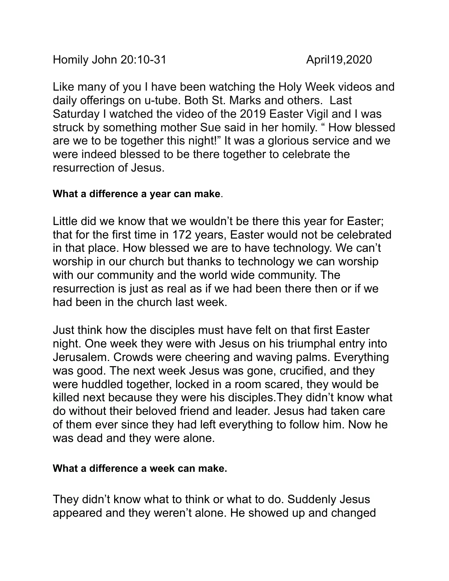Homily John 20:10-31 April19,2020

Like many of you I have been watching the Holy Week videos and daily offerings on u-tube. Both St. Marks and others. Last Saturday I watched the video of the 2019 Easter Vigil and I was struck by something mother Sue said in her homily. " How blessed are we to be together this night!" It was a glorious service and we were indeed blessed to be there together to celebrate the resurrection of Jesus.

## **What a difference a year can make**.

Little did we know that we wouldn't be there this year for Easter; that for the first time in 172 years, Easter would not be celebrated in that place. How blessed we are to have technology. We can't worship in our church but thanks to technology we can worship with our community and the world wide community. The resurrection is just as real as if we had been there then or if we had been in the church last week.

Just think how the disciples must have felt on that first Easter night. One week they were with Jesus on his triumphal entry into Jerusalem. Crowds were cheering and waving palms. Everything was good. The next week Jesus was gone, crucified, and they were huddled together, locked in a room scared, they would be killed next because they were his disciples.They didn't know what do without their beloved friend and leader. Jesus had taken care of them ever since they had left everything to follow him. Now he was dead and they were alone.

## **What a difference a week can make.**

They didn't know what to think or what to do. Suddenly Jesus appeared and they weren't alone. He showed up and changed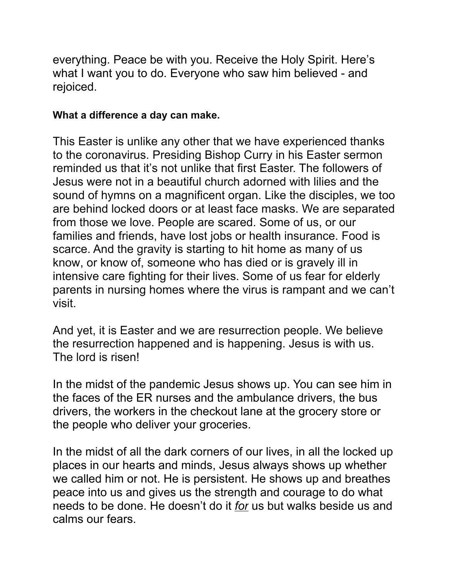everything. Peace be with you. Receive the Holy Spirit. Here's what I want you to do. Everyone who saw him believed - and rejoiced.

## **What a difference a day can make.**

This Easter is unlike any other that we have experienced thanks to the coronavirus. Presiding Bishop Curry in his Easter sermon reminded us that it's not unlike that first Easter. The followers of Jesus were not in a beautiful church adorned with lilies and the sound of hymns on a magnificent organ. Like the disciples, we too are behind locked doors or at least face masks. We are separated from those we love. People are scared. Some of us, or our families and friends, have lost jobs or health insurance. Food is scarce. And the gravity is starting to hit home as many of us know, or know of, someone who has died or is gravely ill in intensive care fighting for their lives. Some of us fear for elderly parents in nursing homes where the virus is rampant and we can't visit.

And yet, it is Easter and we are resurrection people. We believe the resurrection happened and is happening. Jesus is with us. The lord is risen!

In the midst of the pandemic Jesus shows up. You can see him in the faces of the ER nurses and the ambulance drivers, the bus drivers, the workers in the checkout lane at the grocery store or the people who deliver your groceries.

In the midst of all the dark corners of our lives, in all the locked up places in our hearts and minds, Jesus always shows up whether we called him or not. He is persistent. He shows up and breathes peace into us and gives us the strength and courage to do what needs to be done. He doesn't do it *for* us but walks beside us and calms our fears.